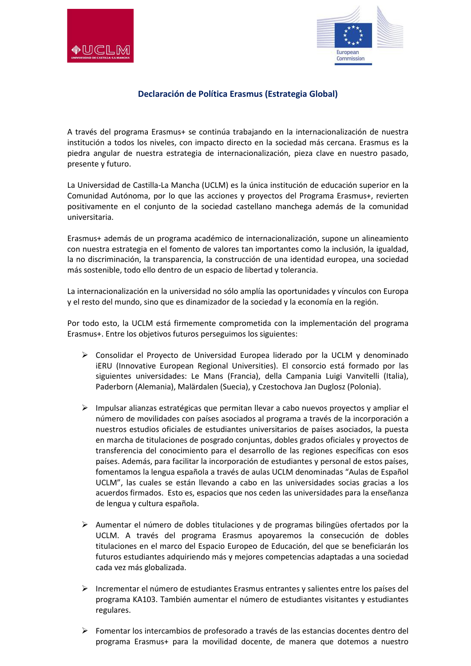



## **Declaración de Política Erasmus (Estrategia Global)**

A través del programa Erasmus+ se continúa trabajando en la internacionalización de nuestra institución a todos los niveles, con impacto directo en la sociedad más cercana. Erasmus es la piedra angular de nuestra estrategia de internacionalización, pieza clave en nuestro pasado, presente y futuro.

La Universidad de Castilla-La Mancha (UCLM) es la única institución de educación superior en la Comunidad Autónoma, por lo que las acciones y proyectos del Programa Erasmus+, revierten positivamente en el conjunto de la sociedad castellano manchega además de la comunidad universitaria.

Erasmus+ además de un programa académico de internacionalización, supone un alineamiento con nuestra estrategia en el fomento de valores tan importantes como la inclusión, la igualdad, la no discriminación, la transparencia, la construcción de una identidad europea, una sociedad más sostenible, todo ello dentro de un espacio de libertad y tolerancia.

La internacionalización en la universidad no sólo amplía las oportunidades y vínculos con Europa y el resto del mundo, sino que es dinamizador de la sociedad y la economía en la región.

Por todo esto, la UCLM está firmemente comprometida con la implementación del programa Erasmus+. Entre los objetivos futuros perseguimos los siguientes:

- Consolidar el Proyecto de Universidad Europea liderado por la UCLM y denominado iERU (Innovative European Regional Universities). El consorcio está formado por las siguientes universidades: Le Mans (Francia), della Campania Luigi Vanvitelli (Italia), Paderborn (Alemania), Malärdalen (Suecia), y Czestochova Jan Duglosz (Polonia).
- $\triangleright$  Impulsar alianzas estratégicas que permitan llevar a cabo nuevos proyectos y ampliar el número de movilidades con países asociados al programa a través de la incorporación a nuestros estudios oficiales de estudiantes universitarios de países asociados, la puesta en marcha de titulaciones de posgrado conjuntas, dobles grados oficiales y proyectos de transferencia del conocimiento para el desarrollo de las regiones específicas con esos países. Además, para facilitar la incorporación de estudiantes y personal de estos países, fomentamos la lengua española a través de aulas UCLM denominadas "Aulas de Español UCLM", las cuales se están llevando a cabo en las universidades socias gracias a los acuerdos firmados. Esto es, espacios que nos ceden las universidades para la enseñanza de lengua y cultura española.
- $\triangleright$  Aumentar el número de dobles titulaciones y de programas bilingües ofertados por la UCLM. A través del programa Erasmus apoyaremos la consecución de dobles titulaciones en el marco del Espacio Europeo de Educación, del que se beneficiarán los futuros estudiantes adquiriendo más y mejores competencias adaptadas a una sociedad cada vez más globalizada.
- Incrementar el número de estudiantes Erasmus entrantes y salientes entre los países del programa KA103. También aumentar el número de estudiantes visitantes y estudiantes regulares.
- $\triangleright$  Fomentar los intercambios de profesorado a través de las estancias docentes dentro del programa Erasmus+ para la movilidad docente, de manera que dotemos a nuestro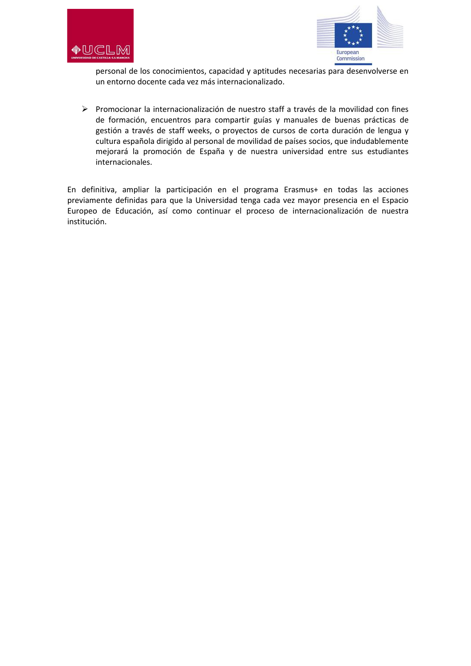



personal de los conocimientos, capacidad y aptitudes necesarias para desenvolverse en un entorno docente cada vez más internacionalizado.

 $\triangleright$  Promocionar la internacionalización de nuestro staff a través de la movilidad con fines de formación, encuentros para compartir guías y manuales de buenas prácticas de gestión a través de staff weeks, o proyectos de cursos de corta duración de lengua y cultura española dirigido al personal de movilidad de países socios, que indudablemente mejorará la promoción de España y de nuestra universidad entre sus estudiantes internacionales.

En definitiva, ampliar la participación en el programa Erasmus+ en todas las acciones previamente definidas para que la Universidad tenga cada vez mayor presencia en el Espacio Europeo de Educación, así como continuar el proceso de internacionalización de nuestra institución.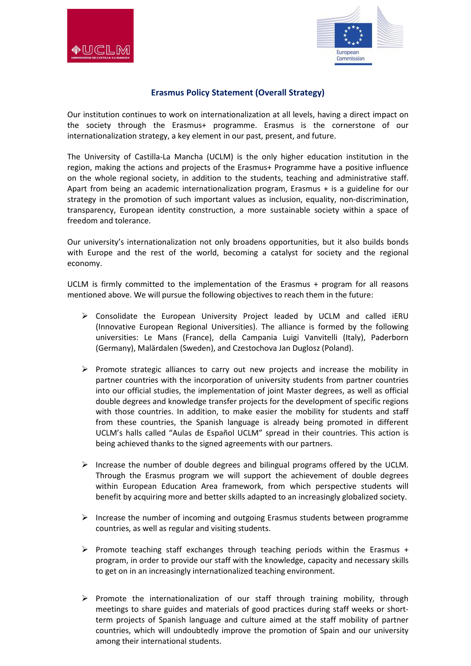



## **Erasmus Policy Statement (Overall Strategy)**

Our institution continues to work on internationalization at all levels, having a direct impact on the society through the Erasmus+ programme. Erasmus is the cornerstone of our internationalization strategy, a key element in our past, present, and future.

The University of Castilla-La Mancha (UCLM) is the only higher education institution in the region, making the actions and projects of the Erasmus+ Programme have a positive influence on the whole regional society, in addition to the students, teaching and administrative staff. Apart from being an academic internationalization program, Erasmus + is a guideline for our strategy in the promotion of such important values as inclusion, equality, non-discrimination, transparency, European identity construction, a more sustainable society within a space of freedom and tolerance.

Our university's internationalization not only broadens opportunities, but it also builds bonds with Europe and the rest of the world, becoming a catalyst for society and the regional economy.

UCLM is firmly committed to the implementation of the Erasmus + program for all reasons mentioned above. We will pursue the following objectives to reach them in the future:

- $\triangleright$  Consolidate the European University Project leaded by UCLM and called iERU (Innovative European Regional Universities). The alliance is formed by the following universities: Le Mans (France), della Campania Luigi Vanvitelli (Italy), Paderborn (Germany), Malärdalen (Sweden), and Czestochova Jan Duglosz (Poland).
- $\triangleright$  Promote strategic alliances to carry out new projects and increase the mobility in partner countries with the incorporation of university students from partner countries into our official studies, the implementation of joint Master degrees, as well as official double degrees and knowledge transfer projects for the development of specific regions with those countries. In addition, to make easier the mobility for students and staff from these countries, the Spanish language is already being promoted in different UCLM's halls called "Aulas de Español UCLM" spread in their countries. This action is being achieved thanks to the signed agreements with our partners.
- Increase the number of double degrees and bilingual programs offered by the UCLM. Through the Erasmus program we will support the achievement of double degrees within European Education Area framework, from which perspective students will benefit by acquiring more and better skills adapted to an increasingly globalized society.
- $\triangleright$  Increase the number of incoming and outgoing Erasmus students between programme countries, as well as regular and visiting students.
- $\triangleright$  Promote teaching staff exchanges through teaching periods within the Erasmus + program, in order to provide our staff with the knowledge, capacity and necessary skills to get on in an increasingly internationalized teaching environment.
- $\triangleright$  Promote the internationalization of our staff through training mobility, through meetings to share guides and materials of good practices during staff weeks or shortterm projects of Spanish language and culture aimed at the staff mobility of partner countries, which will undoubtedly improve the promotion of Spain and our university among their international students.